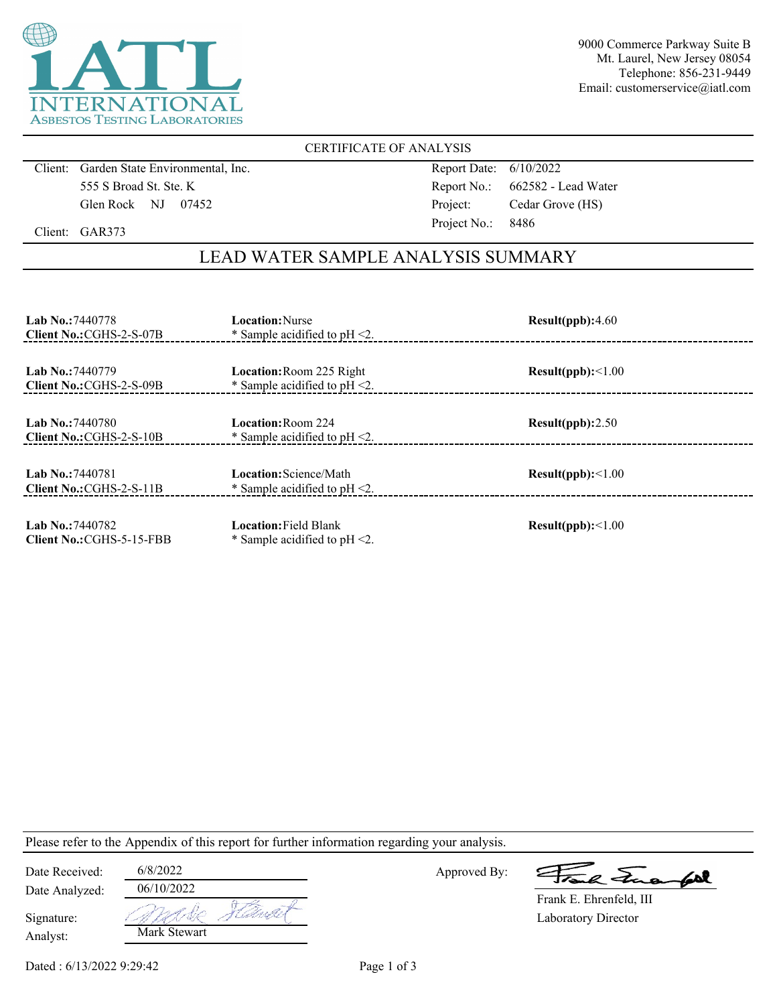

9000 Commerce Parkway Suite B Mt. Laurel, New Jersey 08054 Telephone: 856-231-9449 Email: customerservice@iatl.com

### CERTIFICATE OF ANALYSIS

Client: Garden State Environmental, Inc. 555 S Broad St. Ste. K Glen Rock NJ 07452

Report Date: 6/10/2022 Report No.: 662582 - Lead Water Project: Cedar Grove (HS) Project No.: 8486

Client: GAR373

## LEAD WATER SAMPLE ANALYSIS SUMMARY

| <b>Lab No.: 7440778</b><br>Client No.: CGHS-2-S-07B | <b>Location:</b> Nurse<br>* Sample acidified to $pH < 2$ .          | Result(ppb):4.60         |
|-----------------------------------------------------|---------------------------------------------------------------------|--------------------------|
| <b>Lab No.: 7440779</b><br>Client No.: CGHS-2-S-09B | <b>Location: Room 225 Right</b><br>* Sample acidified to $pH < 2$ . | Result(ppb):<1.00        |
| <b>Lab No.: 7440780</b><br>Client No.: CGHS-2-S-10B | Location: Room 224<br>* Sample acidified to $pH < 2$ .              | Result(ppb):2.50         |
| Lab No.: 7440781<br>Client No.: CGHS-2-S-11B        | Location: Science/Math<br>* Sample acidified to $pH < 2$ .          | Result(ppb):<1.00        |
| Lab No.: 7440782<br>Client No.: CGHS-5-15-FBB       | <b>Location: Field Blank</b><br>* Sample acidified to $pH < 2$ .    | $Result(ppb): \leq 1.00$ |

Please refer to the Appendix of this report for further information regarding your analysis.

| Date Received:         | 6/8/2022     |       |
|------------------------|--------------|-------|
| Date Analyzed:         | 06/10/2022   |       |
| Signature:<br>Analyst: | Mark Stewart | en fr |

Approved By:

a Jua fol

Laboratory Director Frank E. Ehrenfeld, III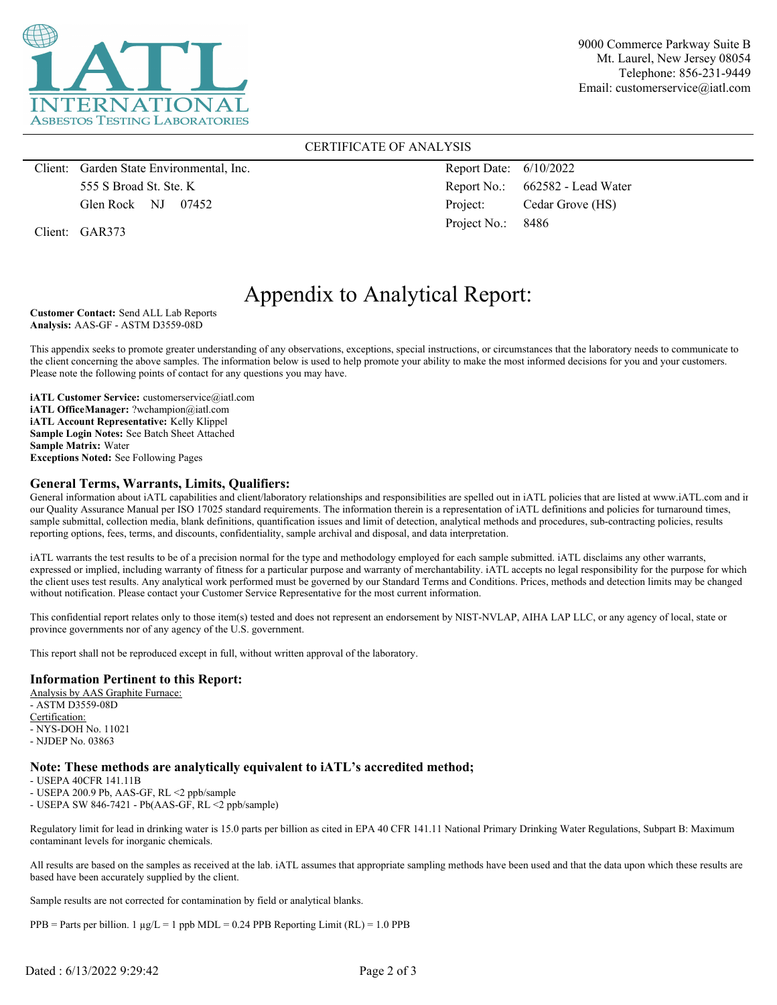

9000 Commerce Parkway Suite B Mt. Laurel, New Jersey 08054 Telephone: 856-231-9449 Email: customerservice@iatl.com

#### CERTIFICATE OF ANALYSIS

Client: Garden State Environmental, Inc. 555 S Broad St. Ste. K Glen Rock NJ 07452

Client: GAR373

Report Date: 6/10/2022 Report No.: 662582 - Lead Water Project: Cedar Grove (HS) Project No.: 8486

# Appendix to Analytical Report:

**Customer Contact:** Send ALL Lab Reports **Analysis:** AAS-GF - ASTM D3559-08D

This appendix seeks to promote greater understanding of any observations, exceptions, special instructions, or circumstances that the laboratory needs to communicate to the client concerning the above samples. The information below is used to help promote your ability to make the most informed decisions for you and your customers. Please note the following points of contact for any questions you may have.

**iATL Customer Service:** customerservice@iatl.com **iATL OfficeManager:** ?wchampion@iatl.com **iATL Account Representative:** Kelly Klippel **Sample Login Notes:** See Batch Sheet Attached **Sample Matrix:** Water **Exceptions Noted:** See Following Pages

#### **General Terms, Warrants, Limits, Qualifiers:**

General information about iATL capabilities and client/laboratory relationships and responsibilities are spelled out in iATL policies that are listed at www.iATL.com and in our Quality Assurance Manual per ISO 17025 standard requirements. The information therein is a representation of iATL definitions and policies for turnaround times, sample submittal, collection media, blank definitions, quantification issues and limit of detection, analytical methods and procedures, sub-contracting policies, results reporting options, fees, terms, and discounts, confidentiality, sample archival and disposal, and data interpretation.

iATL warrants the test results to be of a precision normal for the type and methodology employed for each sample submitted. iATL disclaims any other warrants, expressed or implied, including warranty of fitness for a particular purpose and warranty of merchantability. iATL accepts no legal responsibility for the purpose for which the client uses test results. Any analytical work performed must be governed by our Standard Terms and Conditions. Prices, methods and detection limits may be changed without notification. Please contact your Customer Service Representative for the most current information.

This confidential report relates only to those item(s) tested and does not represent an endorsement by NIST-NVLAP, AIHA LAP LLC, or any agency of local, state or province governments nor of any agency of the U.S. government.

This report shall not be reproduced except in full, without written approval of the laboratory.

#### **Information Pertinent to this Report:**

Analysis by AAS Graphite Furnace: - ASTM D3559-08D Certification: - NYS-DOH No. 11021 - NJDEP No. 03863

#### **Note: These methods are analytically equivalent to iATL's accredited method;**

- USEPA 40CFR 141.11B

- USEPA 200.9 Pb, AAS-GF, RL <2 ppb/sample

- USEPA SW 846-7421 - Pb(AAS-GF, RL <2 ppb/sample)

Regulatory limit for lead in drinking water is 15.0 parts per billion as cited in EPA 40 CFR 141.11 National Primary Drinking Water Regulations, Subpart B: Maximum contaminant levels for inorganic chemicals.

All results are based on the samples as received at the lab. iATL assumes that appropriate sampling methods have been used and that the data upon which these results are based have been accurately supplied by the client.

Sample results are not corrected for contamination by field or analytical blanks.

PPB = Parts per billion. 1  $\mu$ g/L = 1 ppb MDL = 0.24 PPB Reporting Limit (RL) = 1.0 PPB